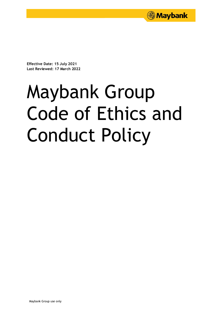

**Effective Date: 15 July 2021 Last Reviewed: 17 March 2022**

# Maybank Group Code of Ethics and Conduct Policy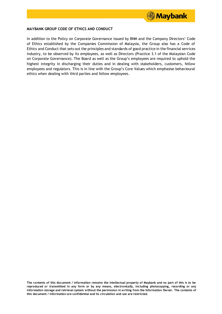

# **MAYBANK GROUP CODE OF ETHICS AND CONDUCT**

In addition to the Policy on Corporate Governance issued by BNM and the Company Directors' Code of Ethics established by the Companies Commission of Malaysia, the Group also has a Code of Ethics and Conduct that sets out the principles and standards of good practice in the financial services industry, to be observed by its employees, as well as Directors (Practice 3.1 of the Malaysian Code on Corporate Governance). The Board as well as the Group's employees are required to uphold the highest integrity in discharging their duties and in dealing with stakeholders, customers, fellow employees and regulators. This is in line with the Group's Core Values which emphasise behavioural ethics when dealing with third parties and fellow employees.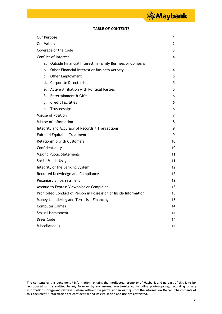# **TABLE OF CONTENTS**

| Our Purpose                                                      |                                                          |    |
|------------------------------------------------------------------|----------------------------------------------------------|----|
| <b>Our Values</b>                                                |                                                          |    |
| Coverage of the Code                                             |                                                          |    |
| <b>Conflict of Interest</b>                                      |                                                          |    |
| a.                                                               | Outside Financial Interest in Family Business or Company | 4  |
| b.                                                               | Other Financial Interest or Business Activity            | 4  |
| c.                                                               | Other Employment                                         | 5. |
| d.                                                               | Corporate Directorship                                   | 5  |
| e.                                                               | Active Affiliation with Political Parties                | 5  |
| f.                                                               | Entertainment & Gifts                                    | 6  |
| g.                                                               | <b>Credit Facilities</b>                                 | 6  |
| h.                                                               | Trusteeships                                             | 6  |
| Misuse of Position                                               |                                                          | 7  |
| Misuse of Information                                            |                                                          | 8  |
| Integrity and Accuracy of Records / Transactions                 |                                                          | 9  |
| Fair and Equitable Treatment                                     |                                                          |    |
| <b>Relationship with Customers</b>                               |                                                          |    |
| Confidentiality                                                  |                                                          |    |
| <b>Making Public Statements</b>                                  |                                                          |    |
| Social Media Usage                                               |                                                          | 11 |
| Integrity of the Banking System                                  |                                                          | 12 |
| Required Knowledge and Compliance                                |                                                          | 12 |
| <b>Pecuniary Embarrassment</b>                                   |                                                          | 12 |
| Avenue to Express Viewpoint or Complaint                         |                                                          | 13 |
| Prohibited Conduct of Person in Possession of Inside Information |                                                          | 13 |
| Money Laundering and Terrorism Financing                         |                                                          | 13 |
| <b>Computer Crimes</b>                                           |                                                          |    |
| Sexual Harassment                                                |                                                          |    |
| Dress Code                                                       |                                                          |    |
| Miscellaneous                                                    |                                                          |    |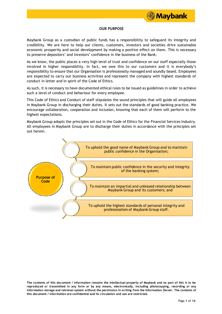

# **OUR PURPOSE**

Maybank Group as a custodian of public funds has a responsibility to safeguard its integrity and credibility. We are here to help our clients, customers, investors and societies drive sustainable economic prosperity and social development by making a positive effect on them. This is necessary to preserve depositors' and investors' confidence in the business of the Bank.

As we know, the public places a very high level of trust and confidence on our staff especially those involved in higher responsibility. In fact, we owe this to our customers and it is everybody's responsibility to ensure that our Organisation is professionally managed and soundly based. Employees are expected to carry out business activities and represent the company with highest standards of conduct in letter and in spirit of the Code of Ethics.

As such, it is necessary to have documented ethical rules to be issued as guidelines in order to achieve such a level of conduct and behaviour for every employee.

This Code of Ethics and Conduct of staff stipulates the sound principles that will guide all employees in Maybank Group in discharging their duties. It sets out the standards of good banking practice. We encourage collaboration, cooperation and inclusion, knowing that each of them will perform to the highest expectations.

Maybank Group adopts the principles set out in the Code of Ethics for the Financial Services Industry. All employees in Maybank Group are to discharge their duties in accordance with the principles set out herein.



**The contents of this document / information remains the intellectual property of Maybank and no part of this is to be reproduced or transmitted in any form or by any means, electronically, including photocopying, recording or any** information storage and retrieval system without the permission in writing from the Information Owner. The contents of **this document / information are confidential and its circulation and use are restricted.**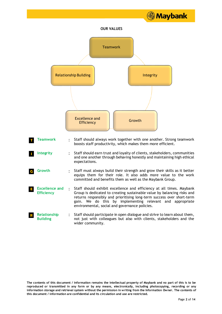

**The contents of this document / information remains the intellectual property of Maybank and no part of this is to be reproduced or transmitted in any form or by any means, electronically, including photocopying, recording or any** information storage and retrieval system without the permission in writing from the Information Owner. The contents of **this document / information are confidential and its circulation and use are restricted.**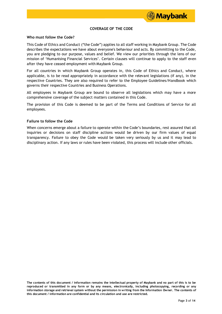

# **COVERAGE OF THE CODE**

#### **Who must follow the Code?**

This Code of Ethics and Conduct ("the Code") applies to all staff working in Maybank Group. The Code describes the expectations we have about everyone's behaviour and acts. By committing to the Code, you are pledging to our purpose, values and belief. We view our priorities through the lens of our mission of 'Humanising Financial Services'. Certain clauses will continue to apply to the staff even after they have ceased employment with Maybank Group.

For all countries in which Maybank Group operates in, this Code of Ethics and Conduct, where applicable, is to be read appropriately in accordance with the relevant legislations (if any), in the respective Countries. They are also required to refer to the Employee Guidelines/Handbook which governs their respective Countries and Business Operations.

All employees in Maybank Group are bound to observe all legislations which may have a more comprehensive coverage of the subject matters contained in this Code.

The provision of this Code is deemed to be part of the Terms and Conditions of Service for all employees.

#### **Failure to follow the Code**

When concerns emerge about a failure to operate within the Code's boundaries, rest assured that all inquiries or decisions on staff discipline actions would be driven by our firm values of equal transparency. Failure to obey the Code would be taken very seriously by us and it may lead to disciplinary action. If any laws or rules have been violated, this process will include other officials.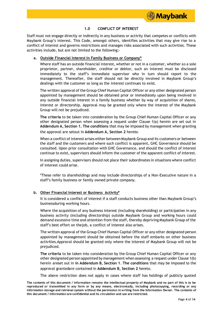

# **1.0 CONFLICT OF INTEREST**

Staff must not engage directly or indirectly in any business or activity that competes or conflicts with Maybank Group's interest. This Code, amongst others, identifies activities that may give rise to a conflict of interest and governs restrictions and manages risks associated with such activities. These activities include, but are not limited to the following:-

# **a. Outside Financial Interest In Family Business or Company\***

Where staff has an outside financial interest, whether or not in a customer, whether as a sole proprietor, partner, shareholder, creditor or debtor, such an interest must be disclosed immediately to the staff's immediate supervisor who in turn should report to the management. Thereafter, the staff should not be directly involved in Maybank Group's dealings with the customer so long as the interest continues to exist.

The written approval of the Group Chief Human Capital Officer or any other designated person appointed by management should be obtained prior or immediately upon being involved in any outside financial interest in a family business whether by way of acquisition of shares, interest or directorship. Approval may be granted only where the interest of the Maybank Group will not be prejudiced.

**The criteria** to be taken into consideration by the Group Chief Human Capital Officer or any other designated person when assessing a request under Clause 1(a) herein are set out in **Addendum A, Section 1. The conditions** that may be imposed by management when granting the approval are setout in **Addendum A, Section 2** hereto.

When a conflict of interest arises either between Maybank Group and its customers or between the staff and the customers and where such conflict is apparent, GHC Governance should be consulted. Upon prior consultation with GHC Governance, and should the conflict of interest continue to exist, supervisors should inform the customer of the apparent conflict of interest.

In assigning duties, supervisors should not place their subordinates in situations where conflict of interest could arise.

\*These refer to shareholdings and may include directorships of a Non-Executive nature in a staff's family business or family owned private company.

# **b. Other Financial Interest or Business Activity\***

It is considered a conflict of interest if a staff conducts business other than Maybank Group's businessduring working hours.

Where the acquisition of any business interest (including shareholding) or participation in any business activity (including directorship) outside Maybank Group and working hours could demand excessive time and attention from the staff, thereby depriving Maybank Group of the staff's best effort on thejob, a conflict of interest also arises.

The written approval of the Group Chief Human Capital Officer or any other designated person appointed by management should be obtained before the staff embarks on other business activities.Approval should be granted only where the interest of Maybank Group will not be prejudiced.

**The criteria** to be taken into consideration by the Group Chief Human Capital Officer or any other designated person appointed by managementwhen assessing a request under Clause 1(b) herein areset out in **in Addendum B, Section 1**. **The conditions** that may be imposed to the approval grantedare contained in **Addendum B, Section 2** hereto.

The above restriction does not apply in cases where staff has holdings of publicly quoted

**The contents of this document / information remains the intellectual property of Maybank and no part of this is to be reproduced or transmitted in any form or by any means, electronically, including photocopying, recording or any** information storage and retrieval system without the permission in writing from the Information Owner. The contents of **this document / information are confidential and its circulation and use are restricted.**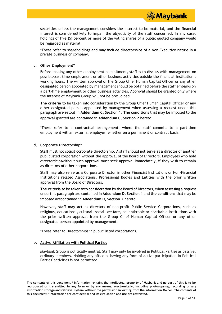

securities unless the management considers the interest to be material, and the financial interest is consideredlikely to impair the objectivity of the staff concerned. In any case, holdings of five (5) percent or more of the voting shares of a public quoted company would be regarded as material.

\*These refer to shareholdings and may include directorships of a Non-Executive nature in a private business or company.

# **c. Other Employment\***

Before making any other employment commitment, staff is to discuss with management on possiblepart-time employment or other business activities outside the financial institution's working hours. The written approval of the Group Chief Human Capital Officer or any other designated person appointed by management should be obtained before the staff embarks on a part-time employment or other business activities. Approval should be granted only where the interest of Maybank Group will not be prejudiced.

**The criteria** to be taken into consideration by the Group Chief Human Capital Officer or any other designated person appointed by management when assessing a request under this paragraph are setout in **Addendum C, Section 1**. **The conditions** that may be imposed to the approval granted are contained in **Addendum C, Section 2** hereto.

\*These refer to a contractual arrangement, where the staff commits to a part-time employment withan external employer, whether on a permanent or contract basis.

# **d. Corporate Directorship\***

Staff must not solicit corporate directorship. A staff should not serve as a director of another publiclisted corporation without the approval of the Board of Directors. Employees who hold directorshipswithout such approval must seek approval immediately, if they wish to remain as directors of other corporations.

Staff may also serve as a Corporate Director in other Financial Institutions or Non-Financial Institutions related Associations, Professional Bodies and Entities with the prior written approval from the Board of Directors.

**The criteria** to be taken into consideration by the Board of Directors, when assessing a request underthis paragraph are contained in **Addendum D, Section 1** and **the conditions** that may be imposed arecontained in **Addendum D, Section 2** hereto.

However, staff may act as directors of non-profit Public Service Corporations, such as religious, educational, cultural, social, welfare, philanthropic or charitable institutions with the prior written approval from the Group Chief Human Capital Officer or any other designated person appointed by management.

\*These refer to Directorships in public listed corporations.

# **e. Active Affiliation with Political Parties**

Maybank Group is politically neutral. Staff may only be involved in Political Parties as passive, ordinary members. Holding any office or having any form of active participation in Political Parties' activities is not permitted.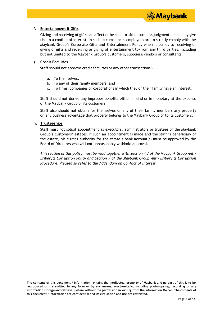

# **f. Entertainment & Gifts**

Giving and receiving of gifts can affect or be seen to affect business judgment hence may give rise to a conflict of interest. In such circumstances employees are to strictly comply with the Maybank Group's Corporate Gifts and Entertainment Policy when it comes to receiving or giving of gifts and receiving or giving of entertainment to/from any third parties, including but not limited to the Maybank Group's customers, suppliers/vendors or consultants.

# **g. Credit Facilities**

Staff should not approve credit facilities or any other transactions:-

- a. To themselves;
- b. To any of their family members; and
- c. To firms, companies or corporations in which they or their family have an interest.

Staff should not derive any improper benefits either in kind or in monetary at the expense of the Maybank Group or its customers.

Staff also should not obtain for themselves or any of their family members any property or any business advantage that properly belongs to the Maybank Group or to its customers.

# **h. Trusteeships**

Staff must not solicit appointment as executors, administrators or trustees of the Maybank Group's customers' estates. If such an appointment is made and the staff is beneficiary of the estate, his signing authority for the estate's bank account(s) must be approved by the Board of Directors who will not unreasonably withhold approval.

*This section of this policy must be read together with Section 4.7 of the Maybank Group Anti-Bribery& Corruption Policy and Section 7 of the Maybank Group Anti- Bribery & Corruption Procedure. Pleasealso refer to the Addendum on Conflict of Interest.*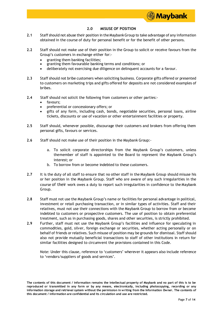

# **2.0 MISUSE OF POSITION**

- **2.1** Staff should not abuse their position in the MaybankGroup to take advantage of any information obtained in the course of duty for personal benefit or for the benefit of other persons.
- **2.2** Staff should not make use of their position in the Group to solicit or receive favours from the Group's customers in exchange either for:
	- granting them banking facilities;
	- granting them favourable banking terms and conditions; or
	- deliberately not exercising due diligence on delinquent accounts for a favour.
- **2.3** Staff should not bribe customers when soliciting business. Corporate gifts offered or presented to customers on marketing trips and gifts offered for deposits are not considered examples of bribes.
- **2.4** Staff should not solicit the following from customers or other parties:
	- favours;
	- preferential or concessionary offers; or
	- gifts of any form, including cash, bonds, negotiable securities, personal loans, airline tickets, discounts or use of vacation or other entertainment facilities or property.
- **2.5** Staff should, whenever possible, discourage their customers and brokers from offering them personal gifts, favours or services.
- **2.6** Staff should not make use of their position in the Maybank Group:
	- a. To solicit corporate directorships from the Maybank Group's customers, unless themember of staff is appointed to the Board to represent the Maybank Group's interest; or
	- b. To borrow from or become indebted to these customers.
- **2.7** It is the duty of all staff to ensure that no other staff in the Maybank Group should misuse his or her position in the Maybank Group. Staff who are aware of any such irregularities in the course of their work owes a duty to report such irregularities in confidence to the Maybank Group.
- **2.8** Staff must not use the Maybank Group's name or facilities for personal advantage in political, investment or retail purchasing transaction, or in similar types of activities. Staff and their relatives, must not use their connections with the Maybank Group to borrow from or become indebted to customers or prospective customers. The use of position to obtain preferential treatment, such as in purchasing goods, shares and other securities, is strictly prohibited.
- **2.9** Further, staff must not use the Maybank Group's facilities and influence for speculating in commodities, gold, silver, foreign exchange or securities, whether acting personally or on behalf of friends or relatives. Such misuse of position may be grounds for dismissal. Staff should also not provide mutually beneficial transactions to staff of other institutions in return for similar facilities designed to circumvent the provisions contained in this Code.

Note: Under this clause, reference to 'customers' wherever it appears also include reference to 'vendors/suppliers of goods and services'.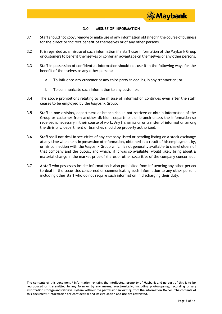# **3.0 MISUSE OF INFORMATION**

- 3.1 Staff should not copy, remove or make use of any information obtained in the course of business for the direct or indirect benefit of themselves or of any other persons.
- 3.2 It is regarded as a misuse of such information if a staff uses information of the Maybank Group or customers to benefit themselves or confer an advantage on themselves or any other persons.
- 3.3 Staff in possession of confidential information should not use it in the following ways for the benefit of themselves or any other persons:
	- a. To influence any customer or any third party in dealing in any transaction; or
	- b. To communicate such information to any customer.
- 3.4 The above prohibitions relating to the misuse of information continues even after the staff ceases to be employed by the Maybank Group.
- 3.5 Staff in one division, department or branch should not retrieve or obtain information of the Group or customer from another division, department or branch unless the information so received is necessary in their course of work. Any transmission or transfer of information among the divisions, department or branches should be properly authorized.
- 3.6 Staff shall not deal in securities of any company listed or pending listing on a stock exchange at any timewhen he is in possession of information, obtained as a result of his employment by, or his connection with the Maybank Group which is not generally available to shareholders of that company and the public, and which, if it was so available, would likely bring about a material change in the market price of shares or other securities of the company concerned.
- 3.7 A staff who possesses insider information is also prohibited from influencing any other person to deal in the securities concerned or communicating such information to any other person, including other staff who do not require such information in discharging their duty.

**The contents of this document / information remains the intellectual property of Maybank and no part of this is to be reproduced or transmitted in any form or by any means, electronically, including photocopying, recording or any** information storage and retrieval system without the permission in writing from the Information Owner. The contents of **this document / information are confidential and its circulation and use are restricted.**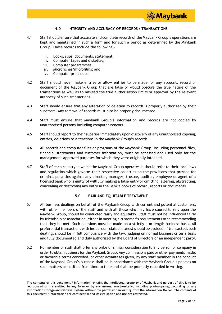

# **4.0 INTEGRITY AND ACCURACY OF RECORDS / TRANSACTIONS**

- 4.1 Staff should ensure that accurate and complete records of the Maybank Group's operations are kept and maintained in such a form and for such a period as determined by the Maybank Group. These records include the following:
	- i. Books, slips, documents, statement;
	- ii. Computer tapes and diskettes;
	- iii. Computer programmes;
	- iv. Microfiches/microfilms; and
	- v. Computer print-outs.
- 4.2 Staff should never make entries or allow entries to be made for any account, record or document of the Maybank Group that are false or would obscure the true nature of the transactions as well as to mislead the true authorization limits or approval by the relevant authority of such transactions.
- 4.3 Staff should ensure that any alteration or deletion to records is properly authorized by their superiors. Any removal of records must also be properly documented.
- 4.4 Staff must ensure that Maybank Group's information and records are not copied by unauthorised persons including computer vendors.
- 4.5 Staff should report to their superior immediately upon discovery of any unauthorised copying, entries, deletions or alterations in the Maybank Group's records.
- 4.6 All records and computer files or programs of the Maybank Group, including personnel files, financial statements and customer information, must be accessed and used only for the management-approved purposes for which they were originally intended.
- 4.7 Staff of each country in which the Maybank Group operates in should refer to their local laws and regulation which governs their respective countries on the provisions that provide for criminal penalties against any director, manager, trustee, auditor, employee or agent of a licensed bank who is guilty of willfully making a false entry or omitting, altering, abstracting, concealing or destroying any entry in the Bank's books of record, reports or documents.

# **5.0 FAIR AND EQIUITABLE TREATMENT**

- 5.1 All business dealings on behalf of the Maybank Group with current and potential customers, with other members of the staff and with all those who may have caused to rely upon the Maybank Group, should be conducted fairly and equitably. Staff must not be influenced fairly by friendship or association, either in meeting a customer's requirements or in recommending that they be met. Such decisions must be made on a strictly arm-length business basis. All preferential transactionswith insiders or related interest should be avoided. If transacted, such dealings should be in full compliance with the law, judging on normal business criteria basis and fully documented and duly authorized by the Board of Directors or an independent party.
- 5.2 No member of staff shall offer any bribe or similar consideration to any person or company in order to obtain business for the Maybank Group. Any commissions paid or other payments made, or favorable terms conceded, or other advantages given, by any staff member in the conduct of the Maybank Group's business shall be in accordance with the Maybank Group's policies on such matters as notified from time to time and shall be promptly recorded in writing.

**The contents of this document / information remains the intellectual property of Maybank and no part of this is to be reproduced or transmitted in any form or by any means, electronically, including photocopying, recording or any** information storage and retrieval system without the permission in writing from the Information Owner. The contents of **this document / information are confidential and its circulation and use are restricted.**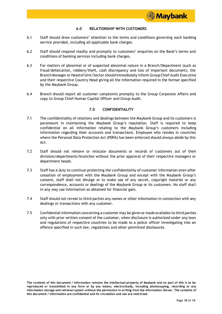

# **6.0 RELATIONSHIP WITH CUSTOMERS**

- 6.1 Staff should draw customers' attention to the terms and conditions governing each banking service provided, including all applicable bank charges.
- 6.2 Staff should respond readily and promptly to customers' enquiries on the Bank's terms and conditions of banking services including bank charges.
- 6.3 For matters of abnormal or of suspected abnormal nature in a Branch/Department (such as fraud/defalcation, robbery/theft, cash discrepancy and loss of important document), the Branch Manager or Head of Unit/Sector should immediately inform GroupChief Audit Executive and their respective Country Head giving all the information required in the format specified by the Maybank Group.
- 6.4 Branch should report all customer complaints promptly to the Group Corporate Affairs and copy to Group Chief Human Capital Officer and Group Audit.

# **7.0 CONFIDENTIALITY**

- 7.1 The confidentiality of relations and dealings between the Maybank Group and its customers is paramount in maintaining the Maybank Group's reputation. Staff is required to keep confidential on all information relating to the Maybank Group's customers including information regarding their accounts and transactions. Employee who resides in countries where the Personal Data Protection Act (PDPA) has been enforced should always abide by this Act.
- 7.2 Staff should not remove or relocate documents or records of customers out of their divisions/departments/branches without the prior approval of their respective managers or department heads.
- 7.3 Staff has a duty to continue protecting the confidentiality of customer information even after cessation of employment with the Maybank Group and except with the Maybank Group's consent, staff shall not divulge or to make use of any secret, copyright material or any correspondence, accounts or dealings of the Maybank Group or its customers. No staff shall in any way use information so obtained for financial gain.
- 7.4 Staff should not reveal to third parties any names or other information in connection with any dealings or transactions with any customer.
- 7.5 Confidential information concerning a customer may be given or made available to third parties only with prior written consent of the customer, when disclosure is authorized under any laws and regulations of respective countries to be made to a police officer investigating into an offence specified in such law, regulations and other permitted disclosures.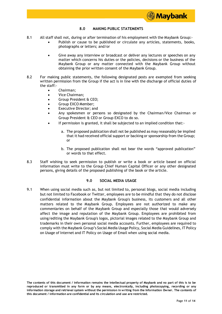

# **8.0 MAKING PUBLIC STATEMENTS**

- 8.1 All staff shall not, during or after termination of his employment with the Maybank Group:-
	- Publish or cause to be published or circulate any articles, statements, books, photographs or letters; and/or
		- Give away any interview or broadcast or deliver any lectures or speeches on any matter which concerns his duties or the policies, decisions or the business of the Maybank Group or any matter connected with the Maybank Group without obtaining the prior written consent of the Maybank Group.
- 8.2 For making public statements, the following designated posts are exempted from seeking written permission from the Group if the act is in line with the discharge of official duties of the staff:-
	- Chairman;
	- Vice Chairman;
	- Group President & CEO;
	- Group EXCO Member;
	- Executive Director; and
	- Any spokesmen or persons so designated by the Chairman/Vice Chairman or Group President & CEO or Group EXCO to do so.
	- If permission is granted, it shall be subjected to an implied condition that:
		- a. The proposed publication shall not be published as may reasonably be implied that it had received official support or backing or sponsorship from the Group; or
		- b. The proposed publication shall not bear the words "approved publication" or words to that effect.
- 8.3 Staff wishing to seek permission to publish or write a book or article based on official information must write to the Group Chief Human Capital Officer or any other designated persons, giving details of the proposed publishing of the book or the article.

# **9.0 SOCIAL MEDIA USAGE**

9.1 When using social media such as, but not limited to, personal blogs, social media including but not limited to Facebook or Twitter, employees are to be mindful that they do not disclose confidential information about the Maybank Group's business, its customers and all other matters related to the Maybank Group. Employees are not authorized to make any commentaries on behalf of the Maybank Group and especially those that would adversely affect the image and reputation of the Maybank Group. Employees are prohibited from using/editing the Maybank Group's logos, pictorial images related to the Maybank Group and trademarks in their own personal social media accounts. Further, employees are required to comply with the Maybank Group's Social Media Usage Policy, Social Media Guidelines, IT Policy on Usage of Internet and IT Policy on Usage of Email when using social media.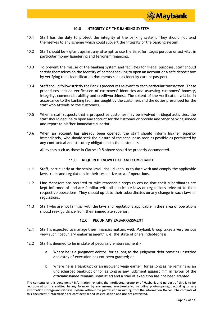

# **10.0 INTEGRITY OF THE BANKING SYSTEM**

- 10.1 Staff has the duty to protect the integrity of the banking system. They should not lend themselves to any scheme which could subvert the integrity of the banking system.
- 10.2 Staff should be vigilant against any attempt to use the Bank for illegal purpose or activity, in particular money laundering and terrorism financing.
- 10.3 To prevent the misuse of the banking system and facilities for illegal purposes, staff should satisfy themselves on the identity of persons seeking to open an account or a safe deposit box by verifying their identification documents such as identity card or passport.
- 10.4 Staff should followstrictly the Bank's procedures relevant to each particular transaction. These procedures include verification of customers' identities and assessing customers' honesty, integrity, commercial ability and creditworthiness. The extent of the verification will be in accordance to the banking facilities sought by the customers and the duties prescribed for the staff who attends to the customers.
- 10.5 When a staff suspects that a prospective customer may be involved in illegal activities, the staff should decline to open any account for the customer or provide any other banking service and report to his/her immediate superior.
- 10.6 When an account has already been opened, the staff should inform his/her superior immediately, who should seek the closure of the account as soon as possible as permitted by any contractual and statutory obligations to the customers.

All events such as those in Clause 10.5 above should be properly documented.

# **11.0 REQUIRED KNOWLEDGE AND COMPLIANCE**

- 11.1 Staff, particularly at the senior level, should keep up-to-date with and comply the applicable laws, rules and regulations in their respective area of operations.
- 11.2 Line Managers are required to take reasonable steps to ensure that their subordinates are kept informed of and are familiar with all applicable laws or regulations relevant to their respective operations. They should up-date their subordinates on any change in such laws or regulations.
- 11.3 Staff who are not familiar with the laws and regulations applicable in their area of operations should seek guidance from their immediate superior.

# **12.0 PECUNIARY EMBARRASSMENT**

- 12.1 Staff is expected to manage their financial matters well. Maybank Group takes a very serious view such "pecuniary embarrassment" i. e. the state of one's indebtedness.
- 12.2 Staff is deemed to be in state of pecuniary embarrassment:
	- a. Where he is a judgment debtor, for as long as the judgment debt remains unsettled and astay of execution has not been granted; or
	- b. Where he is a bankrupt or an insolvent wage earner, for as long as he remains as an undischarged bankrupt or for as long as any judgment against him in favour of the officialassignee remains unsatisfied and a stay of execution has not been granted.

**The contents of this document / information remains the intellectual property of Maybank and no part of this is to be reproduced or transmitted in any form or by any means, electronically, including photocopying, recording or any** information storage and retrieval system without the permission in writing from the Information Owner. The contents of **this document / information are confidential and its circulation and use are restricted.**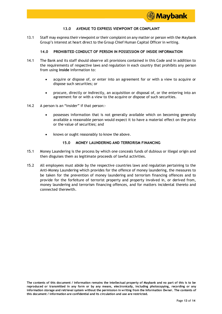

# **13.0 AVENUE TO EXPRESS VIEWPOINT OR COMPLAINT**

13.1 Staff may express their viewpoint or their complaint on any matter or person with the Maybank Group's interest at heart direct to the Group Chief Human Capital Officer in writing.

# **14.0 PROHIBITED CONDUCT OF PERSON IN POSSESSION OF INSIDE INFORMATION**

- 14.1 The Bank and its staff should observe all provisions contained in this Code and in addition to the requirements of respective laws and regulation in each country that prohibits any person from using **inside** information to:
	- acquire or dispose of, or enter into an agreement for or with a view to acquire or dispose such securities; or
	- procure, directly or indirectly, an acquisition or disposal of, or the entering into an agreement for or with a view to the acquire or dispose of such securities.
- 14.2 A person is an "insider" if that person:
	- possesses information that is not generally available which on becoming generally available a reasonable person would expect it to have a material effect on the price or the value of securities; and
	- knows or ought reasonably to know the above.

# **15.0 MONEY LAUNDERING AND TERRORISM FINANCING**

- 15.1 Money Laundering is the process by which one conceals funds of dubious or illegal origin and then disguises them as legitimate proceeds of lawful activities.
- 15.2 All employees must abide by the respective countries laws and regulation pertaining to the Anti-Money Laundering which provides for the offence of money laundering, the measures to be taken for the prevention of money laundering and terrorism financing offences and to provide for the forfeiture of terrorist property and property involved in, or derived from, money laundering and terrorism financing offences, and for matters incidental thereto and connected therewith.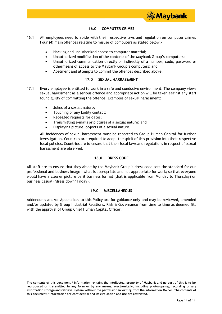# **16.0 COMPUTER CRIMES**

- 16.1 All employees need to abide with their respective laws and regulation on computer crimes Four (4) main offences relating to misuse of computers as stated below:-
	- Hacking and unauthorized access to computer material;
	- Unauthorized modification of the contents of the Maybank Group's computers;
	- Unauthorized communication directly or indirectly of a number, code, password or othermeans of access to the Maybank Group's computers; and
	- Abetment and attempts to commit the offences described above.

# **17.0 SEXUAL HARRASSMENT**

- 17.1 Every employee is entitled to work in a safe and conducive environment. The company views sexual harassment as a serious offence and appropriate action will be taken against any staff found guilty of committing the offence. Examples of sexual harassment:
	- Jokes of a sexual nature;
	- Touching or any bodily contact;
	- Repeated requests for dates:
	- Transmitting e-mails or pictures of a sexual nature; and
	- Displaying picture, objects of a sexual nature.

All incidences of sexual harassment must be reported to Group Human Capital for further investigation. Countries are required to adopt the spirit of this provision into their respective local policies. Countries are to ensure that their local laws and regulations in respect of sexual harassment are observed.

# **18.0 DRESS CODE**

All staff are to ensure that they abide by the Maybank Group's dress code sets the standard for our professional and business image - what is appropriate and not appropriate for work; so that everyone would have a clearer picture be it business formal (that is applicable from Monday to Thursday) or business casual ("dress down" Friday).

# **19.0 MISCELLANEOUS**

Addendums and/or Appendices to this Policy are for guidance only and may be reviewed, amended and/or updated by Group Industrial Relations, Risk & Governance from time to time as deemed fit, with the approval of Group Chief Human Capital Officer.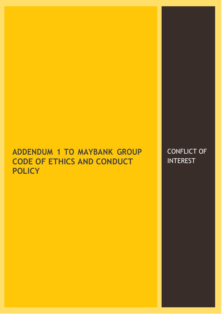# **ADDENDUM 1 TO MAYBANK GROUP CODE OF ETHICS AND CONDUCT POLICY**

CONFLICT OF **INTEREST**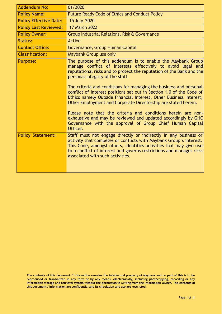| <b>Addendum No:</b>           | 01/2020                                                                                                                                                                                                                                                                                                                                                                                                                                                                                                                                                                                                                                                                                                                                |
|-------------------------------|----------------------------------------------------------------------------------------------------------------------------------------------------------------------------------------------------------------------------------------------------------------------------------------------------------------------------------------------------------------------------------------------------------------------------------------------------------------------------------------------------------------------------------------------------------------------------------------------------------------------------------------------------------------------------------------------------------------------------------------|
| <b>Policy Name:</b>           | <b>Future Ready Code of Ethics and Conduct Policy</b>                                                                                                                                                                                                                                                                                                                                                                                                                                                                                                                                                                                                                                                                                  |
| <b>Policy Effective Date:</b> | 15 July 2020                                                                                                                                                                                                                                                                                                                                                                                                                                                                                                                                                                                                                                                                                                                           |
| <b>Policy Last Reviewed:</b>  | <b>17 March 2022</b>                                                                                                                                                                                                                                                                                                                                                                                                                                                                                                                                                                                                                                                                                                                   |
| <b>Policy Owner:</b>          | Group Industrial Relations, Risk & Governance                                                                                                                                                                                                                                                                                                                                                                                                                                                                                                                                                                                                                                                                                          |
| <b>Status:</b>                | <b>Active</b>                                                                                                                                                                                                                                                                                                                                                                                                                                                                                                                                                                                                                                                                                                                          |
| <b>Contact Office:</b>        | Governance, Group Human Capital                                                                                                                                                                                                                                                                                                                                                                                                                                                                                                                                                                                                                                                                                                        |
| <b>Classification:</b>        | Maybank Group use only                                                                                                                                                                                                                                                                                                                                                                                                                                                                                                                                                                                                                                                                                                                 |
| <b>Purpose:</b>               | The purpose of this addendum is to enable the Maybank Group<br>manage conflict of interests effectively to avoid legal and<br>reputational risks and to protect the reputation of the Bank and the<br>personal integrity of the staff.<br>The criteria and conditions for managing the business and personal<br>conflict of interest positions set out in Section 1.0 of the Code of<br>Ethics namely Outside Financial Interest, Other Business Interest,<br>Other Employment and Corporate Directorship are stated herein.<br>Please note that the criteria and conditions herein are non-<br>exhaustive and may be reviewed and updated accordingly by GHC<br>Governance with the approval of Group Chief Human Capital<br>Officer. |
| <b>Policy Statement:</b>      | Staff must not engage directly or indirectly in any business or<br>activity that competes or conflicts with Maybank Group's interest.<br>This Code, amongst others, identifies activities that may give rise<br>to a conflict of interest and governs restrictions and manages risks<br>associated with such activities.                                                                                                                                                                                                                                                                                                                                                                                                               |

**The contents of this document / information remains the intellectual property of Maybank and no part of this is to be reproduced or transmitted in any form or by any means, electronically, including photocopying, recording or any** information storage and retrieval system without the permission in writing from the Information Owner. The contents of **this document / information are confidential and its circulation and use are restricted.**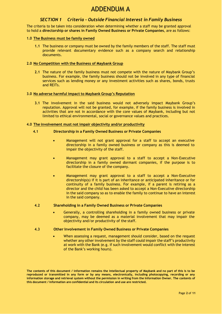# ADDENDUM A

# *SECTION 1 Criteria - Outside Financial Interest in Family Business*

The criteria to be taken into consideration when determining whether a staff may be granted approval to hold a **directorship or shares in Family Owned Business or Private Companies**, are as follows:

# **1.0 The Business must be family owned**

**1.1** The business or company must be owned by the family members of the staff. The staff must provide relevant documentary evidence such as a company search and relationship documents.

# **2.0 No Competition with the Business of Maybank Group**

**2.1** The nature of the family business must not compete with the nature of Maybank Group's business. For example, the family business should not be involved in any type of financial services such as lending money or any investment activities such as shares, bonds, trusts and REITs.

# **3.0 No adverse harmful impact to Maybank Group's Reputation**

**3.1** The involvement in the said business would not adversely impact Maybank Group's reputation. Approval will not be granted, for example, if the family business is involved in activities that are not in accordance with the core values of Maybank, including but not limited to ethical environmental, social or governance values and practices.

# **4.0 The involvement must not impair objectivity and/or productivity**

# **4.1 Directorship in a Family Owned Business or Private Companies**

- Management will not grant approval for a staff to accept an executive directorship in a family owned business or company as this is deemed to impair the objectivity of the staff.
- Management may grant approval to a staff to accept a Non-Executive directorship in a family owned dormant companies, if the purpose is to facilitate the closure of the company.
- Management may grant approval to a staff to accept a Non-Executive directorship(s) if it is part of an inheritance or anticipated inheritance or for continuity of a family business. For example, if a parent is retiring as a director and the child has been asked to accept a Non-Executive directorship in the said company so as to enable the family to continue to have an interest in the said company.

# **4.2 Shareholding in a Family Owned Business or Private Companies**

- Generally, a controlling shareholding in a family owned business or private company, may be deemed as a material involvement that may impair the objectivity and/or productivity of the staff.
- **4.3 Other Involvement in Family Owned Business or Private Companies**
	- When assessing a request, management should consider, based on the request whether any other involvement by the staff could impair the staff's productivity at work with the Bank (e.g. if such involvement would conflict with the interest of the Bank's working hours).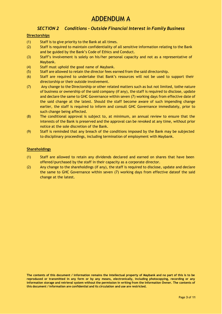# *SECTION 2 Conditions - Outside Financial Interest in Family Business*

# **Directorships**

- (1) Staff is to give priority to the Bank at all times.
- (2) Staff is required to maintain confidentiality of all sensitive information relating to the Bank and be guided by the Bank's Code of Ethics and Conduct.
- (3) Staff's involvement is solely on his/her personal capacity and not as a representative of Maybank.
- (4) Staff must uphold the good name of Maybank.
- (5) Staff are allowed to retain the director fees earned from the said directorship.
- (6) Staff are required to undertake that Bank's resources will not be used to support their directorship or their outside involvement.
- (7) Any change to the Directorship or other related matters such as but not limited, tothe nature of business or ownership of the said company (if any), the staff is required to disclose, update and declare the same to GHC Governance within seven (7) working days from effective date of the said change at the latest. Should the staff become aware of such impending change earlier, the staff is required to inform and consult GHC Governance immediately, prior to such change being affected.
- (8) The conditional approval is subject to, at minimum, an annual review to ensure that the interests of the Bank is preserved and the approval can be revoked at any time, without prior notice at the sole discretion of the Bank.
- (9) Staff is reminded that any breach of the conditions imposed by the Bank may be subjected to disciplinary proceedings, including termination of employment with Maybank.

# **Shareholdings**

- (1) Staff are allowed to retain any dividends declared and earned on shares that have been offered/purchased by the staff in their capacity as a corporate director.
- (2) Any change to the shareholdings (if any), the staff is required to disclose, update and declare the same to GHC Governance within seven (7) working days from effective dateof the said change at the latest.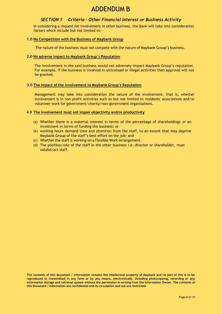# ADDENDUM B

# *SECTION 1 Criteria – Other Financial Interest or Business Activity*

In considering a request for involvement in other business, the Bank will take into consideration factors which include but not limited to:-

# **1.0 No Competition with the Business of Maybank Group**

The nature of the business must not compete with the nature of Maybank Group's business.

# **2.0 No adverse impact to Maybank Group's Reputation**

The involvement in the said business would not adversely impact Maybank Group's reputation. For example, if the business is involved in unlicensed or illegal activities then approval will not be granted.

# **3.0 The impact of the involvement to Maybank Group's Reputation**

Management may take into consideration the nature of the involvement, that is, whether involvement is in non-profit activities such as but not limited to residents' associations and/or volunteer work for government/charity/non-government organisations.

# **4.0 The involvement must not impair objectivity and/or productivity**

- (a) Whether there is a material interest in terms of the percentage of shareholdings or an investment in terms of funding the business; or
- (b) working hours demand time and attention from the staff, to an extent that may deprive Maybank Group of the staff's best effort on the job; and
- (c) Whether the staff is working on a Flexible Work Arrangement.
- (d) The position/role of the staff in the other business i.e. director or shareholder, must notdistract staff.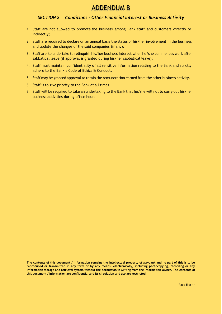# ADDENDUM B

# *SECTION 2 Conditions - Other Financial Interest or Business Activity*

- 1. Staff are not allowed to promote the business among Bank staff and customers directly or indirectly;
- 2. Staff are required to declare on an annual basis the status of his/her involvement in the business and update the changes of the said companies (if any);
- 3. Staff are to undertake to relinquish his/her business interest when he/she commences work after sabbatical leave (if approval is granted during his/her sabbatical leave);
- 4. Staff must maintain confidentiality of all sensitive information relating to the Bank and strictly adhere to the Bank's Code of Ethics & Conduct.
- 5. Staff may be granted approval to retain the remuneration earned from the other business activity.
- 6. Staff is to give priority to the Bank at all times.
- 7. Staff will be required to take an undertaking to the Bank that he/she will not to carry out his/her business activities during office hours.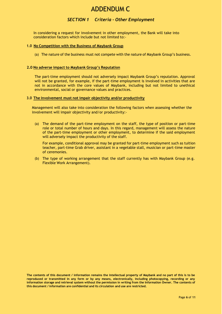# ADDENDUM C

# *SECTION 1 Criteria – Other Employment*

In considering a request for involvement in other employment, the Bank will take into consideration factors which include but not limited to:-

### **1.0 No Competition with the Business of Maybank Group**

(a) The nature of the business must not compete with the nature of Maybank Group's business.

### **2.0 No adverse impact to Maybank Group's Reputation**

The part-time employment should not adversely impact Maybank Group's reputation. Approval will not be granted, for example, if the part-time employment is involved in activities that are not in accordance with the core values of Maybank, including but not limited to unethical environmental, social or governance values and practices.

## **3.0 The involvement must not impair objectivity and/or productivity**

Management will also take into consideration the following factors when assessing whether the involvement will impair objectivity and/or productivity:-

(a) The demand of the part-time employment on the staff, the type of position or part-time role or total number of hours and days. In this regard, management will assess the nature of the part-time employment or other employment, to determine if the said employment will adversely impact the productivity of the staff.

For example, conditional approval may be granted for part-time employment such as tuition teacher, part-time Grab driver, assistant in a vegetable stall, musician or part-time master of ceremonies.

(b) The type of working arrangement that the staff currently has with Maybank Group (e.g. Flexible Work Arrangement).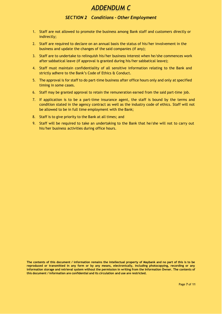# *ADDENDUM C*

# *SECTION 2 Conditions - Other Employment*

- 1. Staff are not allowed to promote the business among Bank staff and customers directly or indirectly;
- 2. Staff are required to declare on an annual basis the status of his/her involvement in the business and update the changes of the said companies (if any);
- 3. Staff are to undertake to relinquish his/her business interest when he/she commences work after sabbatical leave (if approval is granted during his/her sabbatical leave);
- 4. Staff must maintain confidentiality of all sensitive information relating to the Bank and strictly adhere to the Bank's Code of Ethics & Conduct.
- 5. The approval is for staff to do part-time business after office hours only and only at specified timing in some cases.
- 6. Staff may be granted approval to retain the remuneration earned from the said part-time job.
- 7. If application is to be a part-time insurance agent, the staff is bound by the terms and condition stated in the agency contract as well as the industry code of ethics. Staff will not be allowed to be in full time employment with the Bank;
- 8. Staff is to give priority to the Bank at all times; and
- 9. Staff will be required to take an undertaking to the Bank that he/she will not to carry out his/her business activities during office hours.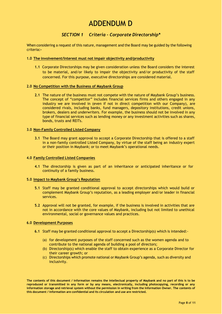# ADDENDUM D

# *SECTION 1 Criteria – Corporate Directorship\**

When considering a request of this nature, management and the Board may be guided by the following criteria**:-**

# **1.0 The involvement/Interest must not impair objectivity and/productivity**

**1.1** Corporate Directorships may be given consideration unless the Board considers the interest to be material, and/or likely to impair the objectivity and/or productivity of the staff concerned. For this purpose, executive directorships are considered material.

# **2.0 No Competition with the Business of Maybank Group**

**2.1** The nature of the business must not compete with the nature of Maybank Group's business. The concept of "competitor" includes financial services firms and others engaged in any industry we are involved in (even if not in direct competition with our Company), are considered rivals, including banks, fund managers, depository institutions, credit unions, brokers, dealers and underwriters. For example, the business should not be involved in any type of financial services such as lending money or any investment activities such as shares, bonds, trusts and REITs.

# **3.0 Non-Family Controlled Listed Company**

**3.1** The Board may grant approval to accept a Corporate Directorship that is offered to a staff in a non-family controlled Listed Company, by virtue of the staff being an industry expert or their position in Maybank; or to meet Maybank's operational needs.

# **4.0 Family Controlled Listed Companies**

**4.1** The directorship is given as part of an inheritance or anticipated inheritance or for continuity of a family business.

# **5.0 Impact to Maybank Group's Reputation**

- **5.1** Staff may be granted conditional approval to accept directorships which would build or complement Maybank Group's reputation, as a leading employer and/or leader in financial services.
- **5.2** Approval will not be granted, for example, if the business is involved in activities that are not in accordance with the core values of Maybank, including but not limited to unethical environmental, social or governance values and practices.

# **6.0 Development Purposes**

- **6.1** Staff may be granted conditional approval to accept a Directorship(s) which is intended:-
	- (a) for development purposes of the staff concerned such as the women agenda and to contribute to the national agenda of building a pool of directors;
	- (b) Directorship(s) which enable the staff to obtain experience as a Corporate Director for their career growth; or
	- (c) Directorships which promote national or Maybank Group's agenda, such as diversity and inclusivity.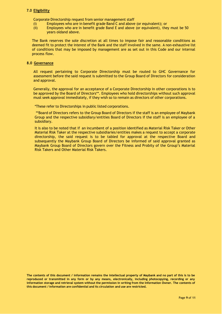# **7.0 Eligibility**

Corporate Directorship request from senior management staff

- (i) Employees who are in benefit grade Band C and above (or equivalent); or
- (ii) Employees who are in benefit grade Band E and above (or equivalent), they must be 50 years oldand above.

The Bank reserves the sole discretion at all times to impose fair and reasonable conditions as deemed fit to protect the interest of the Bank and the staff involved in the same. A non-exhaustive list of conditions that may be imposed by management are as set out in this Code and our internal process flow.

# **8.0 Governance**

All request pertaining to Corporate Directorship must be routed to GHC Governance for assessment before the said request is submitted to the Group Board of Directors for consideration and approval.

Generally, the approval for an acceptance of a Corporate Directorship in other corporations is to be approved by the Board of Directors\*\*. Employees who hold directorships without such approval must seek approval immediately, if they wish so to remain as directors of other corporations.

\*These refer to Directorships in public listed corporations.

\*\*Board of Directors refers to the Group Board of Directors if the staff is an employee of Maybank Group and the respective subsidiary/entities Board of Directors if the staff is an employee of a subsidiary.

It is also to be noted that if an incumbent of a position identified as Material Risk Taker or Other Material Risk Taker at the respective subsidiaries/entities makes a request to accept a corporate directorship, the said request is to be tabled for approval at the respective Board and subsequently the Maybank Group Board of Directors be informed of said approval granted as Maybank Group Board of Directors govern over the Fitness and Probity of the Group's Material Risk Takers and Other Material Risk Takers.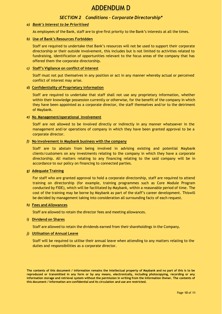# ADDENDUM D

# *SECTION 2 Conditions - Corporate Directorship\**

# *a) Bank's Interest to be Prioritised*

As employees of the Bank, staff are to give first priority to the Bank's interests at all the times.

# *b)* **Use of Bank's Resources Forbidden**

Staff are required to undertake that Bank's resources will not be used to support their corporate directorship or their outside involvement, this includes but is not limited to activities related to fundraising, identification of opportunities relevant to the focus areas of the company that has offered them the corporate directorship.

# *c)* **Staff's Vigilance on conflict of interest**

Staff must not put themselves in any position or act in any manner whereby actual or perceived conflict of interest may arise.

# *d)* **Confidentiality of Proprietary Information**

Staff are required to undertake that staff shall not use any proprietary information, whether within their knowledge possession currently or otherwise, for the benefit of the company in which they have been appointed as a corporate director, the staff themselves and/or to the detriment of Maybank.

# *e)* **No Management/operational involvement**

Staff are not allowed to be involved directly or indirectly in any manner whatsoever in the management and/or operations of company in which they have been granted approval to be a corporate director.

# *f)* **No involvement in Maybank business with the company**

Staff are to abstain from being involved in advising existing and potential Maybank clients/customers on any investments relating to the company in which they have a corporate directorship. All matters relating to any financing relating to the said company will be in accordance to our policy on financing to connected parties.

# *g)* **Adequate Training**

For staff who are granted approval to hold a corporate directorship, staff are required to attend training on directorship (for example, training programmes such as Core Module Program conducted by FIDE), which will be facilitated by Maybank, within a reasonable period of time. The cost of the training may be borne by Maybank as part of the staff's career development. Thiswill be decided by management taking into consideration all surrounding facts of each request.

# *h)* **Fees and Allowances**

Staff are allowed to retain the director fees and meeting allowances.

# *i)* **Dividend on Shares**

Staff are allowed to retain the dividends earned from their shareholdings in the Company.

# *j)* **Utilisation of Annual Leave**

Staff will be required to utilise their annual leave when attending to any matters relating to the duties and responsibilities as a corporate director.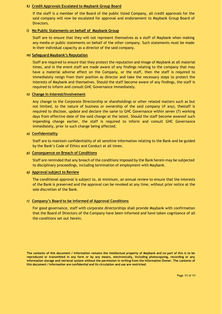# *k)* **Credit Approvals Escalated to Maybank Group Board**

If the staff is a member of the Board of the public listed Company, all credit approvals for the said company will now be escalated for approval and endorsement to Maybank Group Board of Directors.

# *l)* **No Public Statements on behalf of Maybank Group**

Staff are to ensure that they will not represent themselves as a staff of Maybank when making any media or public statements on behalf of the other company. Such statements must be made in their individual capacity as a director of the said company.

#### *m)* **Safeguard Maybank's Reputation**

Staff are required to ensure that they protect the reputation and image of Maybank at all material times, and in the event staff are made aware of any findings relating to the company that may have a material adverse effect on the Company, or the staff, then the staff is required to immediately resign from their position as director and take the necessary steps to protect the interests of Maybank and themselves. Should the staff become aware of any findings, the staff is required to inform and consult GHC Governance immediately.

# *n)* **Change in Interest/Involvement**

Any change to the Corporate Directorship or shareholdings or other related matters such as but not limited, to the nature of business or ownership of the said company (if any), thestaff is required to disclose, update and declare the same to GHC Governance within seven (7) working days from effective date of the said change at the latest. Should the staff become awareof such impending change earlier, the staff is required to inform and consult GHC Governance immediately, prior to such change being affected.

#### *o)* **Confidentiality**

Staff are to maintain confidentiality of all sensitive information relating to the Bank and be guided by the Bank's Code of Ethics and Conduct at all times.

## *p)* **Consequence on Breach of Conditions**

Staff are reminded that any breach of the conditions imposed by the Bank herein may be subjected to disciplinary proceedings, including termination of employment with Maybank.

# *q)* **Approval subject to Review**

The conditional approval is subject to, at minimum, an annual review to ensure that the interests of the Bank is preserved and the approval can be revoked at any time, without prior notice at the sole discretion of the Bank.

# *r)* **Company's Board to be informed of Approval Conditions**

For good governance, staff with corporate directorships shall provide Maybank with confirmation that the Board of Directors of the Company have been informed and have taken cognizance of all the conditions set out herein.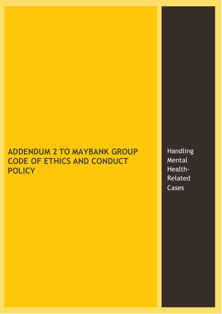# **ADDENDUM 2 TO MAYBANK GROUP CODE OF ETHICS AND CONDUCT POLICY**

Handling Mental Health-Related Cases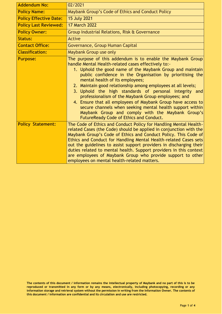| <b>Addendum No:</b>           | 02/2021                                                                                                                                                                                                                                                                                                                                                                                                                                                                                                                                                                                                                                                                                       |
|-------------------------------|-----------------------------------------------------------------------------------------------------------------------------------------------------------------------------------------------------------------------------------------------------------------------------------------------------------------------------------------------------------------------------------------------------------------------------------------------------------------------------------------------------------------------------------------------------------------------------------------------------------------------------------------------------------------------------------------------|
| <b>Policy Name:</b>           | Maybank Group's Code of Ethics and Conduct Policy                                                                                                                                                                                                                                                                                                                                                                                                                                                                                                                                                                                                                                             |
| <b>Policy Effective Date:</b> | <b>15 July 2021</b>                                                                                                                                                                                                                                                                                                                                                                                                                                                                                                                                                                                                                                                                           |
| <b>Policy Last Reviewed:</b>  | <b>17 March 2022</b>                                                                                                                                                                                                                                                                                                                                                                                                                                                                                                                                                                                                                                                                          |
| <b>Policy Owner:</b>          | Group Industrial Relations, Risk & Governance                                                                                                                                                                                                                                                                                                                                                                                                                                                                                                                                                                                                                                                 |
| <b>Status:</b>                | <b>Active</b>                                                                                                                                                                                                                                                                                                                                                                                                                                                                                                                                                                                                                                                                                 |
| <b>Contact Office:</b>        | Governance, Group Human Capital                                                                                                                                                                                                                                                                                                                                                                                                                                                                                                                                                                                                                                                               |
| <b>Classification:</b>        | Maybank Group use only                                                                                                                                                                                                                                                                                                                                                                                                                                                                                                                                                                                                                                                                        |
| <b>Purpose:</b>               | The purpose of this addendum is to enable the Maybank Group<br>handle Mental Health-related cases effectively to:-<br>1. Uphold the good name of the Maybank Group and maintain<br>public confidence in the Organisation by prioritising the<br>mental health of its employees;<br>2. Maintain good relationship among employees at all levels;<br>3. Uphold the high standards of personal integrity and<br>professionalism of the Maybank Group employees; and<br>4. Ensure that all employees of Maybank Group have access to<br>secure channels when seeking mental health support within<br>Maybank Group and comply with the Maybank Group's<br>FutureReady Code of Ethics and Conduct. |
| <b>Policy Statement:</b>      | The Code of Ethics and Conduct Policy for Handling Mental Health-<br>related Cases (the Code) should be applied in conjunction with the<br>Maybank Group's Code of Ethics and Conduct Policy. This Code of<br>Ethics and Conduct for Handling Mental Health-related Cases sets<br>out the guidelines to assist support providers in discharging their<br>duties related to mental health. Support providers in this context<br>are employees of Maybank Group who provide support to other<br>employees on mental health-related matters.                                                                                                                                                     |

**The contents of this document / information remains the intellectual property of Maybank and no part of this is to be reproduced or transmitted in any form or by any means, electronically, including photocopying, recording or any** information storage and retrieval system without the permission in writing from the Information Owner. The contents of **this document / information are confidential and its circulation and use are restricted.**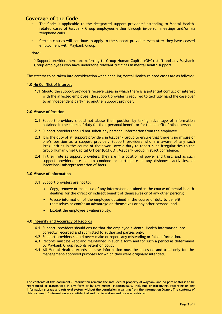# **Coverage of the Code**

- The Code is applicable to the designated support providers<sup>1</sup> attending to Mental Healthrelated cases of Maybank Group employees either through in-person meetings and/or via telephone calls.
- Certain clauses will continue to apply to the support providers even after they have ceased employment with Maybank Group.

Note:

1. Support providers here are referring to Group Human Capital (GHC) staff and any Maybank Group employees who have undergone relevant trainings in mental health support.

The criteria to be taken into consideration when handling Mental Health-related cases are as follows:

# **1.0 No Conflict of Interest**

**1.1** Should the support providers receive cases in which there is a potential conflict of interest with the affected employee, the support provider is required to tactfully hand the case over to an independent party i.e. another support provider.

# **2.0 Misuse of Position**

- **2.1** Support providers should not abuse their position by taking advantage of information obtained in the course of duty for their personal benefit or for the benefit of other persons.
- **2.2** Support providers should not solicit any personal information from the employee.
- **2.3** It is the duty of all support providers in Maybank Group to ensure that there is no misuse of one's position as a support provider. Support providers who are aware of any such irregularities in the course of their work owe a duty to report such irregularities to the Group Human Chief Capital Officer (GCHCO), Maybank Group in strict confidence.
- **2.4** In their role as support providers, they are in a position of power and trust, and as such support providers are not to condone or participate in any dishonest activities, or intentional misrepresentation of facts.

# **3.0 Misuse of Information**

- **3.1** Support providers are not to:
	- Copy, remove or make use of any information obtained in the course of mental health dealings for the direct or indirect benefit of themselves or of any other persons;
	- Misuse information of the employee obtained in the course of duty to benefit themselves or confer an advantage on themselves or any other persons; and
	- Exploit the employee's vulnerability.

# **4.0 Integrity and Accuracy of Records**

- **4.1** Support providers should ensure that the employee's Mental Health information are correctly recorded and submitted to authorised parties only.
- **4.2** Support providers should never make or report any misleading or false information.
- **4.3** Records must be kept and maintained in such a form and for such a period as determined by Maybank Group records retention policy.
- **4.4** All Mental Health records or case information must be accessed and used only for the management-approved purposes for which they were originally intended.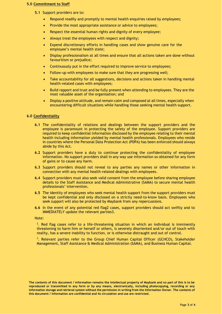#### **5.0 Commitment to Staff**

- **5.1** Support providers are to:
	- Respond readily and promptly to mental health enquiries raised by employees;
	- Provide the most appropriate assistance or advice to employees;
	- Respect the essential human rights and dignity of every employee;
	- Always treat the employees with respect and dignity;
	- Expend discretionary efforts in handling cases and show genuine care for the employee's mental health state;
	- Display professionalism at all times and ensure that all actions taken are done without favouritism or prejudice;
	- Continuously put in the effort required to improve service to employees;
	- Follow-up with employees to make sure that they are progressing well;
	- Take accountability for all suggestions, decisions and actions taken in handling mental health-related cases with employees;
	- Build rapport and trust and be fully present when attending to employees. They are the most valuable asset of the organisation; and
	- Display a positive attitude, and remain calm and composed at all times, especially when encountering difficult situations while handling those seeking mental health support.

# **6.0 Confidentiality**

- **6.1** The confidentiality of relations and dealings between the support providers and the employee is paramount in protecting the safety of the employee. Support providers are required to keep confidential information disclosed by the employee relating to their mental health including information yielded by mental health professionals. Employees who reside in countries where the Personal Data Protection Act (PDPA) has been enforced should always abide by this Act.
- **6.2** Support providers have a duty to continue protecting the confidentiality of employee information. No support providers shall in any way use information so obtained for any form of gains or to cause any harm.
- **6.3** Support providers should not reveal to any parties any names or other information in connection with any mental health-related dealings with employees.
- **6.4** Support providers must also seek valid consent from the employee before sharing employee details to the Staff Assistance and Medical Administrative (SAMA) to secure mental health professionals' intervention.
- **6.5** The identity of employees who seek mental health support from the support providers must be kept confidential and only disclosed on a strictly need-to-know basis. Employees who seek support will also be protected by Maybank from any repercussions.
- **6.6** In the event of any potential red flag2 cases, support providers should act swiftly and to IMMEDIATELY update the relevant parties3.

Note:

<sup>2</sup>. Red flag cases refer to a life-threatening situation in which an individual is imminently threatening to harm him or herself or others, is severely disoriented and/or out of touch with reality, has a severe inability to function, or is otherwise distraught and out of control.

3 . Relevant parties refer to the Group Chief Human Capital Officer (GCHCO), Stakeholder Management, Staff Assistance & Medical Administration (SAMA), and Business Human Capital.